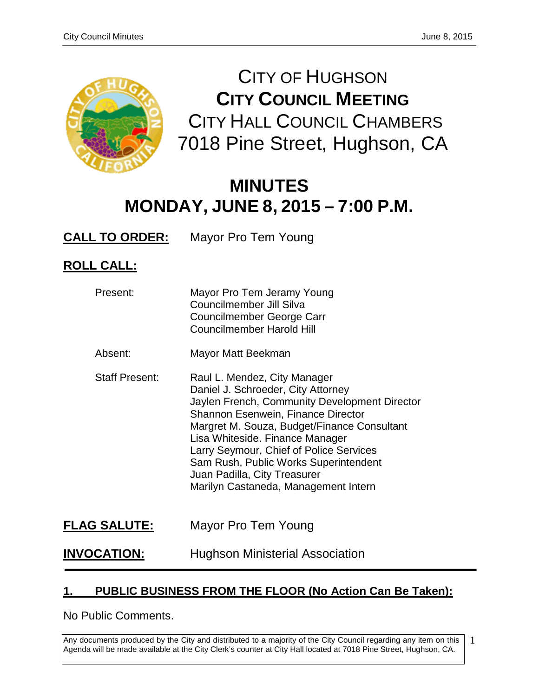

CITY OF HUGHSON **CITY COUNCIL MEETING** CITY HALL COUNCIL CHAMBERS 7018 Pine Street, Hughson, CA

# **MINUTES MONDAY, JUNE 8, 2015 – 7:00 P.M.**

**CALL TO ORDER:** Mayor Pro Tem Young

# **ROLL CALL:**

| Present:              | Mayor Pro Tem Jeramy Young<br>Councilmember Jill Silva<br>Councilmember George Carr<br><b>Councilmember Harold Hill</b>                                                                                                                                                                                                                                                                                        |
|-----------------------|----------------------------------------------------------------------------------------------------------------------------------------------------------------------------------------------------------------------------------------------------------------------------------------------------------------------------------------------------------------------------------------------------------------|
| Absent:               | Mayor Matt Beekman                                                                                                                                                                                                                                                                                                                                                                                             |
| <b>Staff Present:</b> | Raul L. Mendez, City Manager<br>Daniel J. Schroeder, City Attorney<br>Jaylen French, Community Development Director<br><b>Shannon Esenwein, Finance Director</b><br>Margret M. Souza, Budget/Finance Consultant<br>Lisa Whiteside. Finance Manager<br>Larry Seymour, Chief of Police Services<br>Sam Rush, Public Works Superintendent<br>Juan Padilla, City Treasurer<br>Marilyn Castaneda, Management Intern |
| <b>FLAG SALUTE:</b>   | Mayor Pro Tem Young                                                                                                                                                                                                                                                                                                                                                                                            |

# **INVOCATION:** Hughson Ministerial Association

# **1. PUBLIC BUSINESS FROM THE FLOOR (No Action Can Be Taken):**

No Public Comments.

Any documents produced by the City and distributed to a majority of the City Council regarding any item on this Agenda will be made available at the City Clerk's counter at City Hall located at 7018 Pine Street, Hughson, CA. 1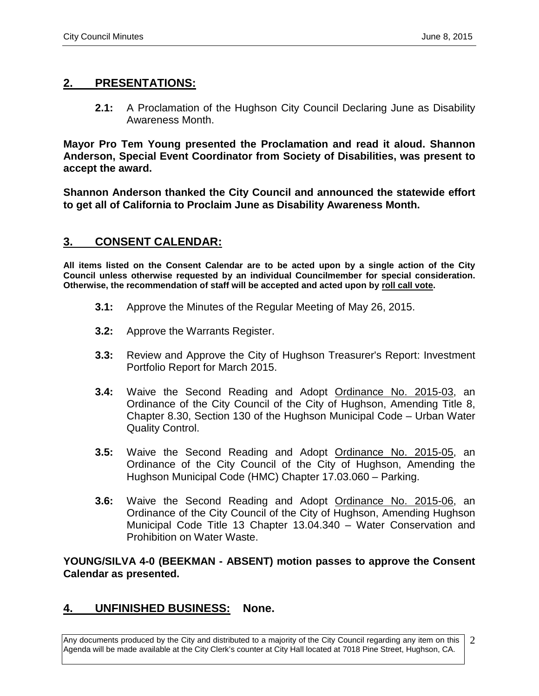# **2. PRESENTATIONS:**

**2.1:** A Proclamation of the Hughson City Council Declaring June as Disability Awareness Month.

**Mayor Pro Tem Young presented the Proclamation and read it aloud. Shannon Anderson, Special Event Coordinator from Society of Disabilities, was present to accept the award.**

**Shannon Anderson thanked the City Council and announced the statewide effort to get all of California to Proclaim June as Disability Awareness Month.** 

# **3. CONSENT CALENDAR:**

**All items listed on the Consent Calendar are to be acted upon by a single action of the City Council unless otherwise requested by an individual Councilmember for special consideration. Otherwise, the recommendation of staff will be accepted and acted upon by roll call vote.**

- **3.1:** Approve the Minutes of the Regular Meeting of May 26, 2015.
- **3.2:** Approve the Warrants Register.
- **3.3:** Review and Approve the City of Hughson Treasurer's Report: Investment Portfolio Report for March 2015.
- **3.4:** Waive the Second Reading and Adopt Ordinance No. 2015-03, an Ordinance of the City Council of the City of Hughson, Amending Title 8, Chapter 8.30, Section 130 of the Hughson Municipal Code – Urban Water Quality Control.
- **3.5:** Waive the Second Reading and Adopt Ordinance No. 2015-05, an Ordinance of the City Council of the City of Hughson, Amending the Hughson Municipal Code (HMC) Chapter 17.03.060 – Parking.
- **3.6:** Waive the Second Reading and Adopt Ordinance No. 2015-06, an Ordinance of the City Council of the City of Hughson, Amending Hughson Municipal Code Title 13 Chapter 13.04.340 – Water Conservation and Prohibition on Water Waste.

**YOUNG/SILVA 4-0 (BEEKMAN - ABSENT) motion passes to approve the Consent Calendar as presented.** 

# **4. UNFINISHED BUSINESS: None.**

Any documents produced by the City and distributed to a majority of the City Council regarding any item on this Agenda will be made available at the City Clerk's counter at City Hall located at 7018 Pine Street, Hughson, CA. 2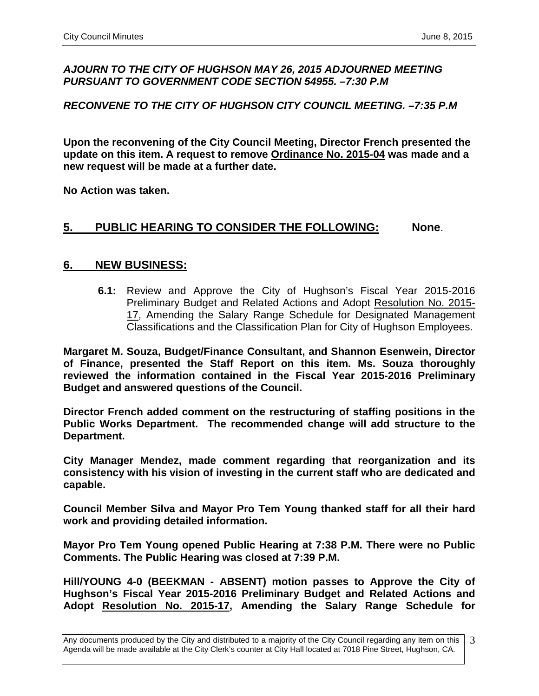#### *AJOURN TO THE CITY OF HUGHSON MAY 26, 2015 ADJOURNED MEETING PURSUANT TO GOVERNMENT CODE SECTION 54955. –7:30 P.M*

#### *RECONVENE TO THE CITY OF HUGHSON CITY COUNCIL MEETING. –7:35 P.M*

**Upon the reconvening of the City Council Meeting, Director French presented the update on this item. A request to remove Ordinance No. 2015-04 was made and a new request will be made at a further date.** 

**No Action was taken.**

### **5. PUBLIC HEARING TO CONSIDER THE FOLLOWING: None**.

#### **6. NEW BUSINESS:**

**6.1:** Review and Approve the City of Hughson's Fiscal Year 2015-2016 Preliminary Budget and Related Actions and Adopt Resolution No. 2015- 17, Amending the Salary Range Schedule for Designated Management Classifications and the Classification Plan for City of Hughson Employees.

**Margaret M. Souza, Budget/Finance Consultant, and Shannon Esenwein, Director of Finance, presented the Staff Report on this item. Ms. Souza thoroughly reviewed the information contained in the Fiscal Year 2015-2016 Preliminary Budget and answered questions of the Council.** 

**Director French added comment on the restructuring of staffing positions in the Public Works Department. The recommended change will add structure to the Department.**

**City Manager Mendez, made comment regarding that reorganization and its consistency with his vision of investing in the current staff who are dedicated and capable.** 

**Council Member Silva and Mayor Pro Tem Young thanked staff for all their hard work and providing detailed information.**

**Mayor Pro Tem Young opened Public Hearing at 7:38 P.M. There were no Public Comments. The Public Hearing was closed at 7:39 P.M.**

**Hill/YOUNG 4-0 (BEEKMAN - ABSENT) motion passes to Approve the City of Hughson's Fiscal Year 2015-2016 Preliminary Budget and Related Actions and Adopt Resolution No. 2015-17, Amending the Salary Range Schedule for** 

Any documents produced by the City and distributed to a majority of the City Council regarding any item on this Agenda will be made available at the City Clerk's counter at City Hall located at 7018 Pine Street, Hughson, CA. 3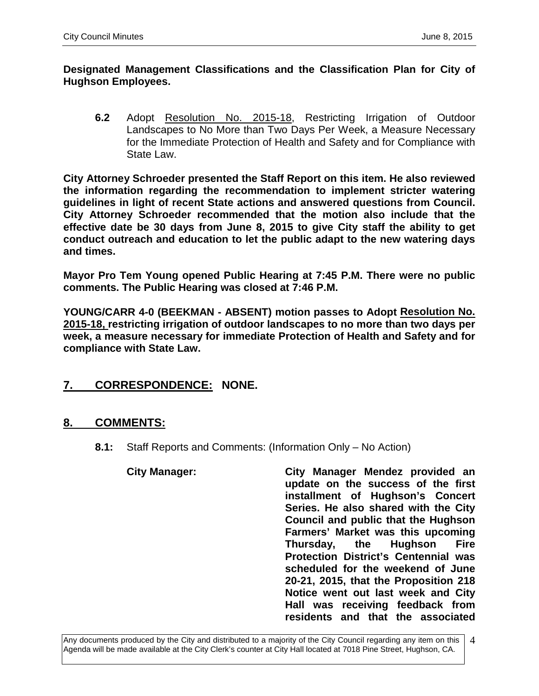#### **Designated Management Classifications and the Classification Plan for City of Hughson Employees.**

**6.2** Adopt Resolution No. 2015-18, Restricting Irrigation of Outdoor Landscapes to No More than Two Days Per Week, a Measure Necessary for the Immediate Protection of Health and Safety and for Compliance with State Law.

**City Attorney Schroeder presented the Staff Report on this item. He also reviewed the information regarding the recommendation to implement stricter watering guidelines in light of recent State actions and answered questions from Council. City Attorney Schroeder recommended that the motion also include that the effective date be 30 days from June 8, 2015 to give City staff the ability to get conduct outreach and education to let the public adapt to the new watering days and times.** 

**Mayor Pro Tem Young opened Public Hearing at 7:45 P.M. There were no public comments. The Public Hearing was closed at 7:46 P.M.** 

**YOUNG/CARR 4-0 (BEEKMAN - ABSENT) motion passes to Adopt Resolution No. 2015-18, restricting irrigation of outdoor landscapes to no more than two days per week, a measure necessary for immediate Protection of Health and Safety and for compliance with State Law.** 

# **7. CORRESPONDENCE: NONE.**

# **8. COMMENTS:**

**8.1:** Staff Reports and Comments: (Information Only – No Action)

# **City Manager: City Manager Mendez provided an update on the success of the first installment of Hughson's Concert Series. He also shared with the City Council and public that the Hughson Farmers' Market was this upcoming Thursday, the Hughson Fire Protection District's Centennial was scheduled for the weekend of June 20-21, 2015, that the Proposition 218 Notice went out last week and City Hall was receiving feedback from residents and that the associated**

Any documents produced by the City and distributed to a majority of the City Council regarding any item on this Agenda will be made available at the City Clerk's counter at City Hall located at 7018 Pine Street, Hughson, CA. 4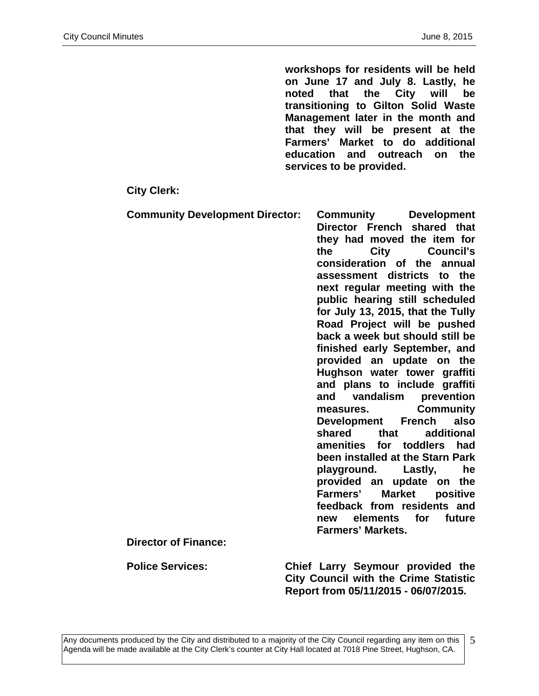**workshops for residents will be held on June 17 and July 8. Lastly, he noted that the City will be transitioning to Gilton Solid Waste Management later in the month and that they will be present at the Farmers' Market to do additional education and outreach on the services to be provided.** 

#### **City Clerk:**

| <b>Community Development Director:</b><br><b>Director of Finance:</b> | Community<br><b>Development</b><br>Director French shared that<br>they had moved the item for<br><b>City</b><br>the<br>Council's<br>consideration of the<br>annual<br>assessment districts to the<br>next regular meeting with the<br>public hearing still scheduled<br>for July 13, 2015, that the Tully<br>Road Project will be pushed<br>back a week but should still be<br>finished early September, and<br>provided an update on the<br>Hughson water tower graffiti<br>and plans to include graffiti<br>vandalism<br>prevention<br>and<br><b>Community</b><br>measures.<br>also<br>Development French<br>additional<br>shared<br>that<br>amenities for toddlers<br>had<br>been installed at the Starn Park<br>playground. Lastly,<br>he<br>provided an update on the<br><b>Market</b><br><b>Farmers'</b><br>positive<br>feedback from residents and<br>elements for future<br>new<br><b>Farmers' Markets.</b> |
|-----------------------------------------------------------------------|---------------------------------------------------------------------------------------------------------------------------------------------------------------------------------------------------------------------------------------------------------------------------------------------------------------------------------------------------------------------------------------------------------------------------------------------------------------------------------------------------------------------------------------------------------------------------------------------------------------------------------------------------------------------------------------------------------------------------------------------------------------------------------------------------------------------------------------------------------------------------------------------------------------------|
|                                                                       |                                                                                                                                                                                                                                                                                                                                                                                                                                                                                                                                                                                                                                                                                                                                                                                                                                                                                                                     |
| <b>Police Services:</b>                                               | Chief Larry Seymour provided the                                                                                                                                                                                                                                                                                                                                                                                                                                                                                                                                                                                                                                                                                                                                                                                                                                                                                    |

**City Council with the Crime Statistic Report from 05/11/2015 - 06/07/2015.**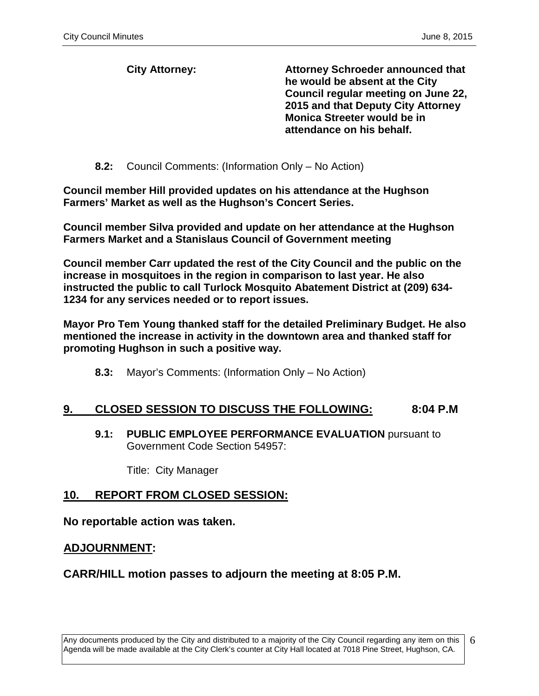**City Attorney: Attorney Schroeder announced that he would be absent at the City Council regular meeting on June 22, 2015 and that Deputy City Attorney Monica Streeter would be in attendance on his behalf.** 

**8.2:** Council Comments: (Information Only – No Action)

**Council member Hill provided updates on his attendance at the Hughson Farmers' Market as well as the Hughson's Concert Series.**

**Council member Silva provided and update on her attendance at the Hughson Farmers Market and a Stanislaus Council of Government meeting**

**Council member Carr updated the rest of the City Council and the public on the increase in mosquitoes in the region in comparison to last year. He also instructed the public to call Turlock Mosquito Abatement District at (209) 634- 1234 for any services needed or to report issues.**

**Mayor Pro Tem Young thanked staff for the detailed Preliminary Budget. He also mentioned the increase in activity in the downtown area and thanked staff for promoting Hughson in such a positive way.** 

**8.3:** Mayor's Comments: (Information Only – No Action)

#### **9. CLOSED SESSION TO DISCUSS THE FOLLOWING: 8:04 P.M**

**9.1: PUBLIC EMPLOYEE PERFORMANCE EVALUATION** pursuant to Government Code Section 54957:

Title: City Manager

#### **10. REPORT FROM CLOSED SESSION:**

**No reportable action was taken.**

#### **ADJOURNMENT:**

#### **CARR/HILL motion passes to adjourn the meeting at 8:05 P.M.**